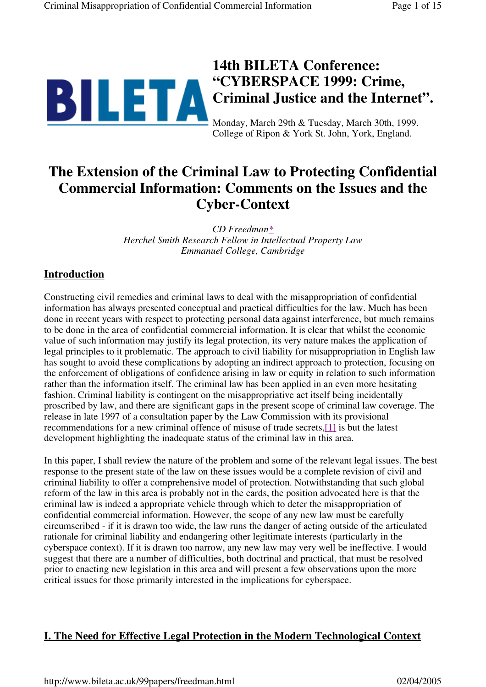

# **14th BILETA Conference: "CYBERSPACE 1999: Crime, Criminal Justice and the Internet".**

Monday, March 29th & Tuesday, March 30th, 1999. College of Ripon & York St. John, York, England.

# **The Extension of the Criminal Law to Protecting Confidential Commercial Information: Comments on the Issues and the Cyber-Context**

*CD Freedman\* Herchel Smith Research Fellow in Intellectual Property Law Emmanuel College, Cambridge*

## **Introduction**

Constructing civil remedies and criminal laws to deal with the misappropriation of confidential information has always presented conceptual and practical difficulties for the law. Much has been done in recent years with respect to protecting personal data against interference, but much remains to be done in the area of confidential commercial information. It is clear that whilst the economic value of such information may justify its legal protection, its very nature makes the application of legal principles to it problematic. The approach to civil liability for misappropriation in English law has sought to avoid these complications by adopting an indirect approach to protection, focusing on the enforcement of obligations of confidence arising in law or equity in relation to such information rather than the information itself. The criminal law has been applied in an even more hesitating fashion. Criminal liability is contingent on the misappropriative act itself being incidentally proscribed by law, and there are significant gaps in the present scope of criminal law coverage. The release in late 1997 of a consultation paper by the Law Commission with its provisional recommendations for a new criminal offence of misuse of trade secrets,[1] is but the latest development highlighting the inadequate status of the criminal law in this area.

In this paper, I shall review the nature of the problem and some of the relevant legal issues. The best response to the present state of the law on these issues would be a complete revision of civil and criminal liability to offer a comprehensive model of protection. Notwithstanding that such global reform of the law in this area is probably not in the cards, the position advocated here is that the criminal law is indeed a appropriate vehicle through which to deter the misappropriation of confidential commercial information. However, the scope of any new law must be carefully circumscribed - if it is drawn too wide, the law runs the danger of acting outside of the articulated rationale for criminal liability and endangering other legitimate interests (particularly in the cyberspace context). If it is drawn too narrow, any new law may very well be ineffective. I would suggest that there are a number of difficulties, both doctrinal and practical, that must be resolved prior to enacting new legislation in this area and will present a few observations upon the more critical issues for those primarily interested in the implications for cyberspace.

## **I. The Need for Effective Legal Protection in the Modern Technological Context**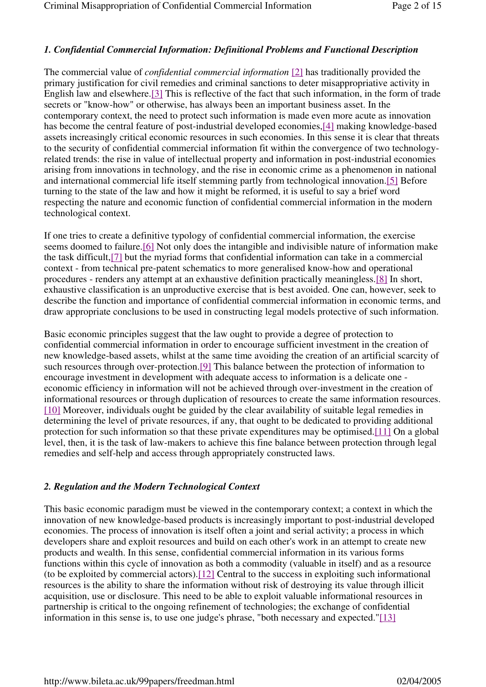### *1. Confidential Commercial Information: Definitional Problems and Functional Description*

The commercial value of *confidential commercial information* [2] has traditionally provided the primary justification for civil remedies and criminal sanctions to deter misappropriative activity in English law and elsewhere.[3] This is reflective of the fact that such information, in the form of trade secrets or "know-how" or otherwise, has always been an important business asset. In the contemporary context, the need to protect such information is made even more acute as innovation has become the central feature of post-industrial developed economies,[4] making knowledge-based assets increasingly critical economic resources in such economies. In this sense it is clear that threats to the security of confidential commercial information fit within the convergence of two technologyrelated trends: the rise in value of intellectual property and information in post-industrial economies arising from innovations in technology, and the rise in economic crime as a phenomenon in national and international commercial life itself stemming partly from technological innovation.[5] Before turning to the state of the law and how it might be reformed, it is useful to say a brief word respecting the nature and economic function of confidential commercial information in the modern technological context.

If one tries to create a definitive typology of confidential commercial information, the exercise seems doomed to failure.[6] Not only does the intangible and indivisible nature of information make the task difficult,[7] but the myriad forms that confidential information can take in a commercial context - from technical pre-patent schematics to more generalised know-how and operational procedures - renders any attempt at an exhaustive definition practically meaningless.[8] In short, exhaustive classification is an unproductive exercise that is best avoided. One can, however, seek to describe the function and importance of confidential commercial information in economic terms, and draw appropriate conclusions to be used in constructing legal models protective of such information.

Basic economic principles suggest that the law ought to provide a degree of protection to confidential commercial information in order to encourage sufficient investment in the creation of new knowledge-based assets, whilst at the same time avoiding the creation of an artificial scarcity of such resources through over-protection.[9] This balance between the protection of information to encourage investment in development with adequate access to information is a delicate one economic efficiency in information will not be achieved through over-investment in the creation of informational resources or through duplication of resources to create the same information resources. [10] Moreover, individuals ought be guided by the clear availability of suitable legal remedies in determining the level of private resources, if any, that ought to be dedicated to providing additional protection for such information so that these private expenditures may be optimised.[11] On a global level, then, it is the task of law-makers to achieve this fine balance between protection through legal remedies and self-help and access through appropriately constructed laws.

#### *2. Regulation and the Modern Technological Context*

This basic economic paradigm must be viewed in the contemporary context; a context in which the innovation of new knowledge-based products is increasingly important to post-industrial developed economies. The process of innovation is itself often a joint and serial activity; a process in which developers share and exploit resources and build on each other's work in an attempt to create new products and wealth. In this sense, confidential commercial information in its various forms functions within this cycle of innovation as both a commodity (valuable in itself) and as a resource (to be exploited by commercial actors).[12] Central to the success in exploiting such informational resources is the ability to share the information without risk of destroying its value through illicit acquisition, use or disclosure. This need to be able to exploit valuable informational resources in partnership is critical to the ongoing refinement of technologies; the exchange of confidential information in this sense is, to use one judge's phrase, "both necessary and expected."[13]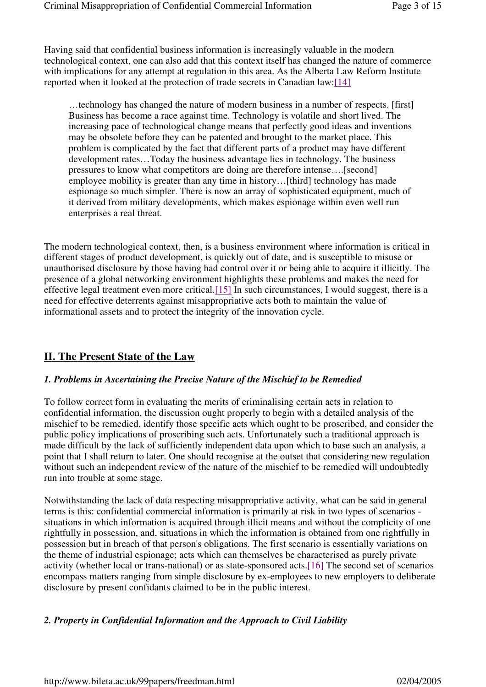Having said that confidential business information is increasingly valuable in the modern technological context, one can also add that this context itself has changed the nature of commerce with implications for any attempt at regulation in this area. As the Alberta Law Reform Institute reported when it looked at the protection of trade secrets in Canadian law:[14]

…technology has changed the nature of modern business in a number of respects. [first] Business has become a race against time. Technology is volatile and short lived. The increasing pace of technological change means that perfectly good ideas and inventions may be obsolete before they can be patented and brought to the market place. This problem is complicated by the fact that different parts of a product may have different development rates…Today the business advantage lies in technology. The business pressures to know what competitors are doing are therefore intense….[second] employee mobility is greater than any time in history…[third] technology has made espionage so much simpler. There is now an array of sophisticated equipment, much of it derived from military developments, which makes espionage within even well run enterprises a real threat.

The modern technological context, then, is a business environment where information is critical in different stages of product development, is quickly out of date, and is susceptible to misuse or unauthorised disclosure by those having had control over it or being able to acquire it illicitly. The presence of a global networking environment highlights these problems and makes the need for effective legal treatment even more critical.[15] In such circumstances, I would suggest, there is a need for effective deterrents against misappropriative acts both to maintain the value of informational assets and to protect the integrity of the innovation cycle.

## **II. The Present State of the Law**

### *1. Problems in Ascertaining the Precise Nature of the Mischief to be Remedied*

To follow correct form in evaluating the merits of criminalising certain acts in relation to confidential information, the discussion ought properly to begin with a detailed analysis of the mischief to be remedied, identify those specific acts which ought to be proscribed, and consider the public policy implications of proscribing such acts. Unfortunately such a traditional approach is made difficult by the lack of sufficiently independent data upon which to base such an analysis, a point that I shall return to later. One should recognise at the outset that considering new regulation without such an independent review of the nature of the mischief to be remedied will undoubtedly run into trouble at some stage.

Notwithstanding the lack of data respecting misappropriative activity, what can be said in general terms is this: confidential commercial information is primarily at risk in two types of scenarios situations in which information is acquired through illicit means and without the complicity of one rightfully in possession, and, situations in which the information is obtained from one rightfully in possession but in breach of that person's obligations. The first scenario is essentially variations on the theme of industrial espionage; acts which can themselves be characterised as purely private activity (whether local or trans-national) or as state-sponsored acts.[16] The second set of scenarios encompass matters ranging from simple disclosure by ex-employees to new employers to deliberate disclosure by present confidants claimed to be in the public interest.

### *2. Property in Confidential Information and the Approach to Civil Liability*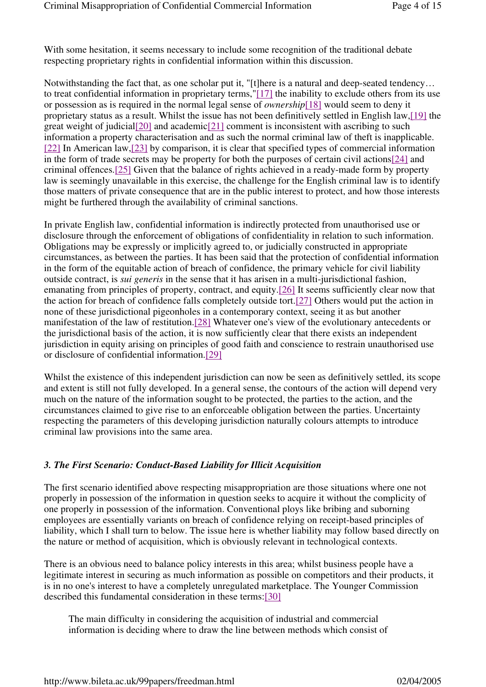With some hesitation, it seems necessary to include some recognition of the traditional debate respecting proprietary rights in confidential information within this discussion.

Notwithstanding the fact that, as one scholar put it, "[t]here is a natural and deep-seated tendency… to treat confidential information in proprietary terms,"[17] the inability to exclude others from its use or possession as is required in the normal legal sense of *ownership*[18] would seem to deny it proprietary status as a result. Whilst the issue has not been definitively settled in English law,[19] the great weight of judicial  $[20]$  and academic  $[21]$  comment is inconsistent with ascribing to such information a property characterisation and as such the normal criminal law of theft is inapplicable. [22] In American law,[23] by comparison, it is clear that specified types of commercial information in the form of trade secrets may be property for both the purposes of certain civil actions[24] and criminal offences.[25] Given that the balance of rights achieved in a ready-made form by property law is seemingly unavailable in this exercise, the challenge for the English criminal law is to identify those matters of private consequence that are in the public interest to protect, and how those interests might be furthered through the availability of criminal sanctions.

In private English law, confidential information is indirectly protected from unauthorised use or disclosure through the enforcement of obligations of confidentiality in relation to such information. Obligations may be expressly or implicitly agreed to, or judicially constructed in appropriate circumstances, as between the parties. It has been said that the protection of confidential information in the form of the equitable action of breach of confidence, the primary vehicle for civil liability outside contract, is *sui generis* in the sense that it has arisen in a multi-jurisdictional fashion, emanating from principles of property, contract, and equity.[26] It seems sufficiently clear now that the action for breach of confidence falls completely outside tort.[27] Others would put the action in none of these jurisdictional pigeonholes in a contemporary context, seeing it as but another manifestation of the law of restitution.[28] Whatever one's view of the evolutionary antecedents or the jurisdictional basis of the action, it is now sufficiently clear that there exists an independent jurisdiction in equity arising on principles of good faith and conscience to restrain unauthorised use or disclosure of confidential information.[29]

Whilst the existence of this independent jurisdiction can now be seen as definitively settled, its scope and extent is still not fully developed. In a general sense, the contours of the action will depend very much on the nature of the information sought to be protected, the parties to the action, and the circumstances claimed to give rise to an enforceable obligation between the parties. Uncertainty respecting the parameters of this developing jurisdiction naturally colours attempts to introduce criminal law provisions into the same area.

### *3. The First Scenario: Conduct-Based Liability for Illicit Acquisition*

The first scenario identified above respecting misappropriation are those situations where one not properly in possession of the information in question seeks to acquire it without the complicity of one properly in possession of the information. Conventional ploys like bribing and suborning employees are essentially variants on breach of confidence relying on receipt-based principles of liability, which I shall turn to below. The issue here is whether liability may follow based directly on the nature or method of acquisition, which is obviously relevant in technological contexts.

There is an obvious need to balance policy interests in this area; whilst business people have a legitimate interest in securing as much information as possible on competitors and their products, it is in no one's interest to have a completely unregulated marketplace. The Younger Commission described this fundamental consideration in these terms:[30]

The main difficulty in considering the acquisition of industrial and commercial information is deciding where to draw the line between methods which consist of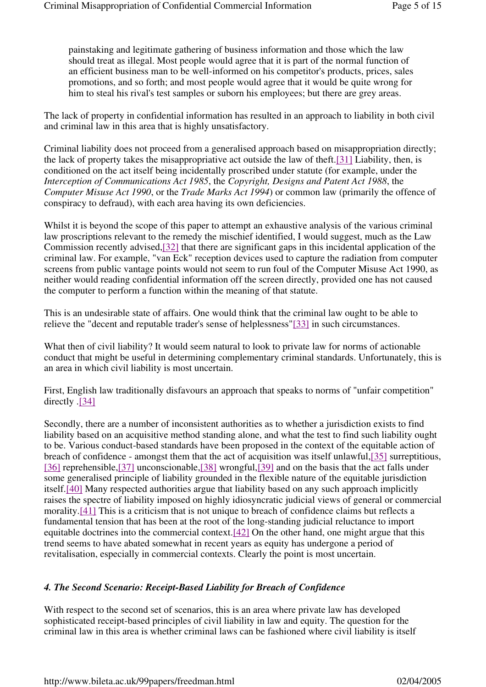painstaking and legitimate gathering of business information and those which the law should treat as illegal. Most people would agree that it is part of the normal function of an efficient business man to be well-informed on his competitor's products, prices, sales promotions, and so forth; and most people would agree that it would be quite wrong for him to steal his rival's test samples or suborn his employees; but there are grey areas.

The lack of property in confidential information has resulted in an approach to liability in both civil and criminal law in this area that is highly unsatisfactory.

Criminal liability does not proceed from a generalised approach based on misappropriation directly; the lack of property takes the misappropriative act outside the law of theft.[31] Liability, then, is conditioned on the act itself being incidentally proscribed under statute (for example, under the *Interception of Communications Act 1985*, the *Copyright, Designs and Patent Act 1988*, the *Computer Misuse Act 1990*, or the *Trade Marks Act 1994*) or common law (primarily the offence of conspiracy to defraud), with each area having its own deficiencies.

Whilst it is beyond the scope of this paper to attempt an exhaustive analysis of the various criminal law proscriptions relevant to the remedy the mischief identified, I would suggest, much as the Law Commission recently advised,[32] that there are significant gaps in this incidental application of the criminal law. For example, "van Eck" reception devices used to capture the radiation from computer screens from public vantage points would not seem to run foul of the Computer Misuse Act 1990, as neither would reading confidential information off the screen directly, provided one has not caused the computer to perform a function within the meaning of that statute.

This is an undesirable state of affairs. One would think that the criminal law ought to be able to relieve the "decent and reputable trader's sense of helplessness"[33] in such circumstances.

What then of civil liability? It would seem natural to look to private law for norms of actionable conduct that might be useful in determining complementary criminal standards. Unfortunately, this is an area in which civil liability is most uncertain.

First, English law traditionally disfavours an approach that speaks to norms of "unfair competition" directly .[34]

Secondly, there are a number of inconsistent authorities as to whether a jurisdiction exists to find liability based on an acquisitive method standing alone, and what the test to find such liability ought to be. Various conduct-based standards have been proposed in the context of the equitable action of breach of confidence - amongst them that the act of acquisition was itself unlawful,[35] surreptitious, [36] reprehensible, [37] unconscionable, [38] wrongful, [39] and on the basis that the act falls under some generalised principle of liability grounded in the flexible nature of the equitable jurisdiction itself.[40] Many respected authorities argue that liability based on any such approach implicitly raises the spectre of liability imposed on highly idiosyncratic judicial views of general or commercial morality.[41] This is a criticism that is not unique to breach of confidence claims but reflects a fundamental tension that has been at the root of the long-standing judicial reluctance to import equitable doctrines into the commercial context.[42] On the other hand, one might argue that this trend seems to have abated somewhat in recent years as equity has undergone a period of revitalisation, especially in commercial contexts. Clearly the point is most uncertain.

### *4. The Second Scenario: Receipt-Based Liability for Breach of Confidence*

With respect to the second set of scenarios, this is an area where private law has developed sophisticated receipt-based principles of civil liability in law and equity. The question for the criminal law in this area is whether criminal laws can be fashioned where civil liability is itself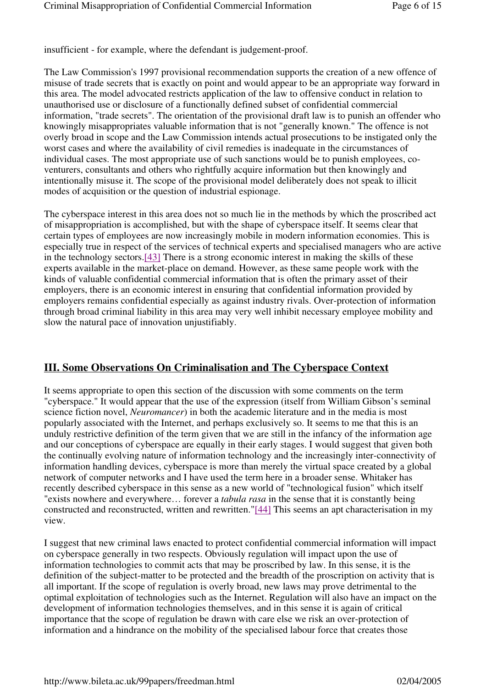insufficient - for example, where the defendant is judgement-proof.

The Law Commission's 1997 provisional recommendation supports the creation of a new offence of misuse of trade secrets that is exactly on point and would appear to be an appropriate way forward in this area. The model advocated restricts application of the law to offensive conduct in relation to unauthorised use or disclosure of a functionally defined subset of confidential commercial information, "trade secrets". The orientation of the provisional draft law is to punish an offender who knowingly misappropriates valuable information that is not "generally known." The offence is not overly broad in scope and the Law Commission intends actual prosecutions to be instigated only the worst cases and where the availability of civil remedies is inadequate in the circumstances of individual cases. The most appropriate use of such sanctions would be to punish employees, coventurers, consultants and others who rightfully acquire information but then knowingly and intentionally misuse it. The scope of the provisional model deliberately does not speak to illicit modes of acquisition or the question of industrial espionage.

The cyberspace interest in this area does not so much lie in the methods by which the proscribed act of misappropriation is accomplished, but with the shape of cyberspace itself. It seems clear that certain types of employees are now increasingly mobile in modern information economies. This is especially true in respect of the services of technical experts and specialised managers who are active in the technology sectors.[43] There is a strong economic interest in making the skills of these experts available in the market-place on demand. However, as these same people work with the kinds of valuable confidential commercial information that is often the primary asset of their employers, there is an economic interest in ensuring that confidential information provided by employers remains confidential especially as against industry rivals. Over-protection of information through broad criminal liability in this area may very well inhibit necessary employee mobility and slow the natural pace of innovation unjustifiably.

## **III. Some Observations On Criminalisation and The Cyberspace Context**

It seems appropriate to open this section of the discussion with some comments on the term "cyberspace." It would appear that the use of the expression (itself from William Gibson's seminal science fiction novel, *Neuromancer*) in both the academic literature and in the media is most popularly associated with the Internet, and perhaps exclusively so. It seems to me that this is an unduly restrictive definition of the term given that we are still in the infancy of the information age and our conceptions of cyberspace are equally in their early stages. I would suggest that given both the continually evolving nature of information technology and the increasingly inter-connectivity of information handling devices, cyberspace is more than merely the virtual space created by a global network of computer networks and I have used the term here in a broader sense. Whitaker has recently described cyberspace in this sense as a new world of "technological fusion" which itself "exists nowhere and everywhere… forever a *tabula rasa* in the sense that it is constantly being constructed and reconstructed, written and rewritten."[44] This seems an apt characterisation in my view.

I suggest that new criminal laws enacted to protect confidential commercial information will impact on cyberspace generally in two respects. Obviously regulation will impact upon the use of information technologies to commit acts that may be proscribed by law. In this sense, it is the definition of the subject-matter to be protected and the breadth of the proscription on activity that is all important. If the scope of regulation is overly broad, new laws may prove detrimental to the optimal exploitation of technologies such as the Internet. Regulation will also have an impact on the development of information technologies themselves, and in this sense it is again of critical importance that the scope of regulation be drawn with care else we risk an over-protection of information and a hindrance on the mobility of the specialised labour force that creates those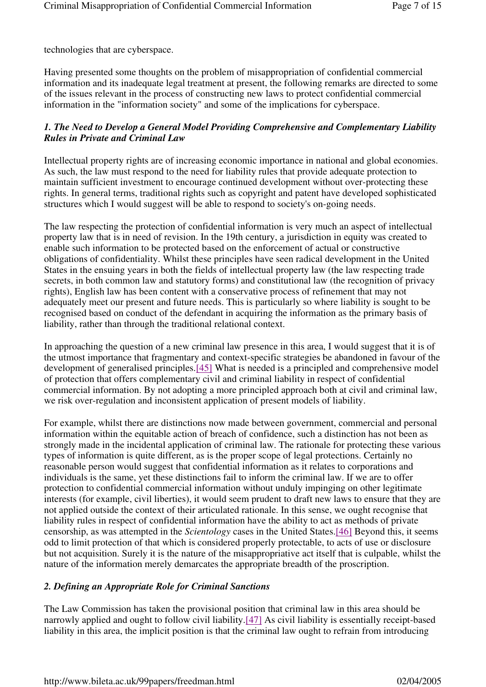technologies that are cyberspace.

Having presented some thoughts on the problem of misappropriation of confidential commercial information and its inadequate legal treatment at present, the following remarks are directed to some of the issues relevant in the process of constructing new laws to protect confidential commercial information in the "information society" and some of the implications for cyberspace.

### *1. The Need to Develop a General Model Providing Comprehensive and Complementary Liability Rules in Private and Criminal Law*

Intellectual property rights are of increasing economic importance in national and global economies. As such, the law must respond to the need for liability rules that provide adequate protection to maintain sufficient investment to encourage continued development without over-protecting these rights. In general terms, traditional rights such as copyright and patent have developed sophisticated structures which I would suggest will be able to respond to society's on-going needs.

The law respecting the protection of confidential information is very much an aspect of intellectual property law that is in need of revision. In the 19th century, a jurisdiction in equity was created to enable such information to be protected based on the enforcement of actual or constructive obligations of confidentiality. Whilst these principles have seen radical development in the United States in the ensuing years in both the fields of intellectual property law (the law respecting trade secrets, in both common law and statutory forms) and constitutional law (the recognition of privacy rights), English law has been content with a conservative process of refinement that may not adequately meet our present and future needs. This is particularly so where liability is sought to be recognised based on conduct of the defendant in acquiring the information as the primary basis of liability, rather than through the traditional relational context.

In approaching the question of a new criminal law presence in this area, I would suggest that it is of the utmost importance that fragmentary and context-specific strategies be abandoned in favour of the development of generalised principles.[45] What is needed is a principled and comprehensive model of protection that offers complementary civil and criminal liability in respect of confidential commercial information. By not adopting a more principled approach both at civil and criminal law, we risk over-regulation and inconsistent application of present models of liability.

For example, whilst there are distinctions now made between government, commercial and personal information within the equitable action of breach of confidence, such a distinction has not been as strongly made in the incidental application of criminal law. The rationale for protecting these various types of information is quite different, as is the proper scope of legal protections. Certainly no reasonable person would suggest that confidential information as it relates to corporations and individuals is the same, yet these distinctions fail to inform the criminal law. If we are to offer protection to confidential commercial information without unduly impinging on other legitimate interests (for example, civil liberties), it would seem prudent to draft new laws to ensure that they are not applied outside the context of their articulated rationale. In this sense, we ought recognise that liability rules in respect of confidential information have the ability to act as methods of private censorship, as was attempted in the *Scientology* cases in the United States.[46] Beyond this, it seems odd to limit protection of that which is considered properly protectable, to acts of use or disclosure but not acquisition. Surely it is the nature of the misappropriative act itself that is culpable, whilst the nature of the information merely demarcates the appropriate breadth of the proscription.

### *2. Defining an Appropriate Role for Criminal Sanctions*

The Law Commission has taken the provisional position that criminal law in this area should be narrowly applied and ought to follow civil liability.[47] As civil liability is essentially receipt-based liability in this area, the implicit position is that the criminal law ought to refrain from introducing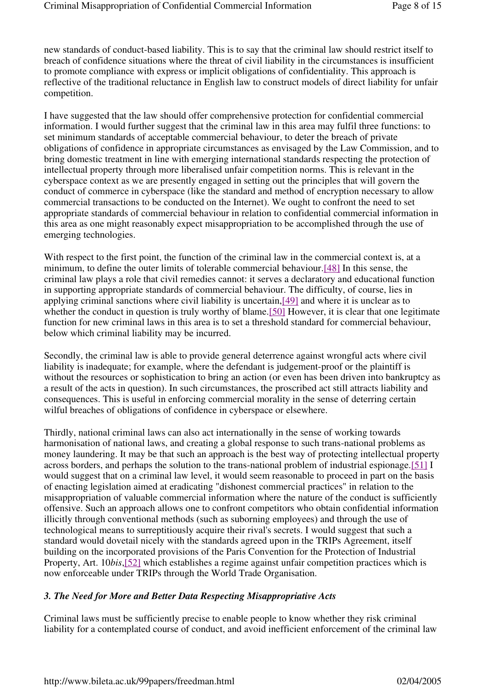new standards of conduct-based liability. This is to say that the criminal law should restrict itself to breach of confidence situations where the threat of civil liability in the circumstances is insufficient to promote compliance with express or implicit obligations of confidentiality. This approach is reflective of the traditional reluctance in English law to construct models of direct liability for unfair competition.

I have suggested that the law should offer comprehensive protection for confidential commercial information. I would further suggest that the criminal law in this area may fulfil three functions: to set minimum standards of acceptable commercial behaviour, to deter the breach of private obligations of confidence in appropriate circumstances as envisaged by the Law Commission, and to bring domestic treatment in line with emerging international standards respecting the protection of intellectual property through more liberalised unfair competition norms. This is relevant in the cyberspace context as we are presently engaged in setting out the principles that will govern the conduct of commerce in cyberspace (like the standard and method of encryption necessary to allow commercial transactions to be conducted on the Internet). We ought to confront the need to set appropriate standards of commercial behaviour in relation to confidential commercial information in this area as one might reasonably expect misappropriation to be accomplished through the use of emerging technologies.

With respect to the first point, the function of the criminal law in the commercial context is, at a minimum, to define the outer limits of tolerable commercial behaviour.[48] In this sense, the criminal law plays a role that civil remedies cannot: it serves a declaratory and educational function in supporting appropriate standards of commercial behaviour. The difficulty, of course, lies in applying criminal sanctions where civil liability is uncertain,[49] and where it is unclear as to whether the conduct in question is truly worthy of blame.[50] However, it is clear that one legitimate function for new criminal laws in this area is to set a threshold standard for commercial behaviour, below which criminal liability may be incurred.

Secondly, the criminal law is able to provide general deterrence against wrongful acts where civil liability is inadequate; for example, where the defendant is judgement-proof or the plaintiff is without the resources or sophistication to bring an action (or even has been driven into bankruptcy as a result of the acts in question). In such circumstances, the proscribed act still attracts liability and consequences. This is useful in enforcing commercial morality in the sense of deterring certain wilful breaches of obligations of confidence in cyberspace or elsewhere.

Thirdly, national criminal laws can also act internationally in the sense of working towards harmonisation of national laws, and creating a global response to such trans-national problems as money laundering. It may be that such an approach is the best way of protecting intellectual property across borders, and perhaps the solution to the trans-national problem of industrial espionage.[51] I would suggest that on a criminal law level, it would seem reasonable to proceed in part on the basis of enacting legislation aimed at eradicating "dishonest commercial practices" in relation to the misappropriation of valuable commercial information where the nature of the conduct is sufficiently offensive. Such an approach allows one to confront competitors who obtain confidential information illicitly through conventional methods (such as suborning employees) and through the use of technological means to surreptitiously acquire their rival's secrets. I would suggest that such a standard would dovetail nicely with the standards agreed upon in the TRIPs Agreement, itself building on the incorporated provisions of the Paris Convention for the Protection of Industrial Property, Art. 10*bis*,[52] which establishes a regime against unfair competition practices which is now enforceable under TRIPs through the World Trade Organisation.

### *3. The Need for More and Better Data Respecting Misappropriative Acts*

Criminal laws must be sufficiently precise to enable people to know whether they risk criminal liability for a contemplated course of conduct, and avoid inefficient enforcement of the criminal law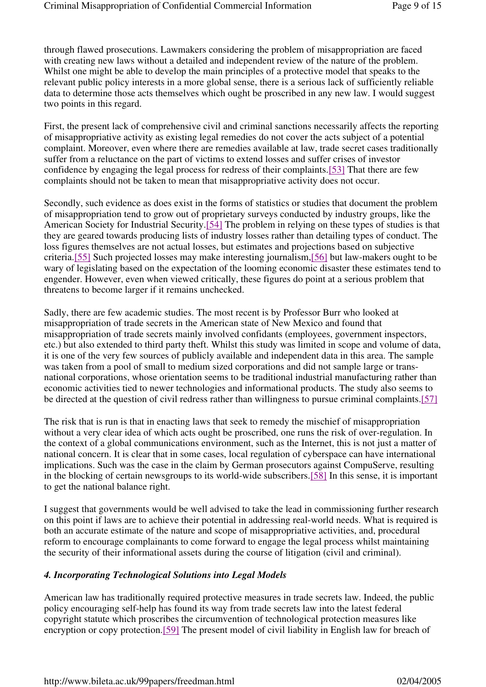through flawed prosecutions. Lawmakers considering the problem of misappropriation are faced with creating new laws without a detailed and independent review of the nature of the problem. Whilst one might be able to develop the main principles of a protective model that speaks to the relevant public policy interests in a more global sense, there is a serious lack of sufficiently reliable data to determine those acts themselves which ought be proscribed in any new law. I would suggest two points in this regard.

First, the present lack of comprehensive civil and criminal sanctions necessarily affects the reporting of misappropriative activity as existing legal remedies do not cover the acts subject of a potential complaint. Moreover, even where there are remedies available at law, trade secret cases traditionally suffer from a reluctance on the part of victims to extend losses and suffer crises of investor confidence by engaging the legal process for redress of their complaints.[53] That there are few complaints should not be taken to mean that misappropriative activity does not occur.

Secondly, such evidence as does exist in the forms of statistics or studies that document the problem of misappropriation tend to grow out of proprietary surveys conducted by industry groups, like the American Society for Industrial Security.[54] The problem in relying on these types of studies is that they are geared towards producing lists of industry losses rather than detailing types of conduct. The loss figures themselves are not actual losses, but estimates and projections based on subjective criteria.[55] Such projected losses may make interesting journalism,[56] but law-makers ought to be wary of legislating based on the expectation of the looming economic disaster these estimates tend to engender. However, even when viewed critically, these figures do point at a serious problem that threatens to become larger if it remains unchecked.

Sadly, there are few academic studies. The most recent is by Professor Burr who looked at misappropriation of trade secrets in the American state of New Mexico and found that misappropriation of trade secrets mainly involved confidants (employees, government inspectors, etc.) but also extended to third party theft. Whilst this study was limited in scope and volume of data, it is one of the very few sources of publicly available and independent data in this area. The sample was taken from a pool of small to medium sized corporations and did not sample large or transnational corporations, whose orientation seems to be traditional industrial manufacturing rather than economic activities tied to newer technologies and informational products. The study also seems to be directed at the question of civil redress rather than willingness to pursue criminal complaints.[57]

The risk that is run is that in enacting laws that seek to remedy the mischief of misappropriation without a very clear idea of which acts ought be proscribed, one runs the risk of over-regulation. In the context of a global communications environment, such as the Internet, this is not just a matter of national concern. It is clear that in some cases, local regulation of cyberspace can have international implications. Such was the case in the claim by German prosecutors against CompuServe, resulting in the blocking of certain newsgroups to its world-wide subscribers.[58] In this sense, it is important to get the national balance right.

I suggest that governments would be well advised to take the lead in commissioning further research on this point if laws are to achieve their potential in addressing real-world needs. What is required is both an accurate estimate of the nature and scope of misappropriative activities, and, procedural reform to encourage complainants to come forward to engage the legal process whilst maintaining the security of their informational assets during the course of litigation (civil and criminal).

### *4. Incorporating Technological Solutions into Legal Models*

American law has traditionally required protective measures in trade secrets law. Indeed, the public policy encouraging self-help has found its way from trade secrets law into the latest federal copyright statute which proscribes the circumvention of technological protection measures like encryption or copy protection.[59] The present model of civil liability in English law for breach of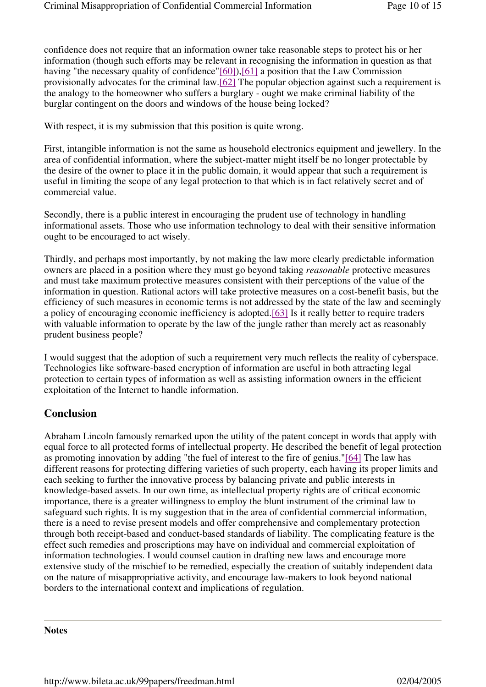confidence does not require that an information owner take reasonable steps to protect his or her information (though such efforts may be relevant in recognising the information in question as that having "the necessary quality of confidence"[60]), [61] a position that the Law Commission provisionally advocates for the criminal law.[62] The popular objection against such a requirement is the analogy to the homeowner who suffers a burglary - ought we make criminal liability of the burglar contingent on the doors and windows of the house being locked?

With respect, it is my submission that this position is quite wrong.

First, intangible information is not the same as household electronics equipment and jewellery. In the area of confidential information, where the subject-matter might itself be no longer protectable by the desire of the owner to place it in the public domain, it would appear that such a requirement is useful in limiting the scope of any legal protection to that which is in fact relatively secret and of commercial value.

Secondly, there is a public interest in encouraging the prudent use of technology in handling informational assets. Those who use information technology to deal with their sensitive information ought to be encouraged to act wisely.

Thirdly, and perhaps most importantly, by not making the law more clearly predictable information owners are placed in a position where they must go beyond taking *reasonable* protective measures and must take maximum protective measures consistent with their perceptions of the value of the information in question. Rational actors will take protective measures on a cost-benefit basis, but the efficiency of such measures in economic terms is not addressed by the state of the law and seemingly a policy of encouraging economic inefficiency is adopted.[63] Is it really better to require traders with valuable information to operate by the law of the jungle rather than merely act as reasonably prudent business people?

I would suggest that the adoption of such a requirement very much reflects the reality of cyberspace. Technologies like software-based encryption of information are useful in both attracting legal protection to certain types of information as well as assisting information owners in the efficient exploitation of the Internet to handle information.

## **Conclusion**

Abraham Lincoln famously remarked upon the utility of the patent concept in words that apply with equal force to all protected forms of intellectual property. He described the benefit of legal protection as promoting innovation by adding "the fuel of interest to the fire of genius."[64] The law has different reasons for protecting differing varieties of such property, each having its proper limits and each seeking to further the innovative process by balancing private and public interests in knowledge-based assets. In our own time, as intellectual property rights are of critical economic importance, there is a greater willingness to employ the blunt instrument of the criminal law to safeguard such rights. It is my suggestion that in the area of confidential commercial information, there is a need to revise present models and offer comprehensive and complementary protection through both receipt-based and conduct-based standards of liability. The complicating feature is the effect such remedies and proscriptions may have on individual and commercial exploitation of information technologies. I would counsel caution in drafting new laws and encourage more extensive study of the mischief to be remedied, especially the creation of suitably independent data on the nature of misappropriative activity, and encourage law-makers to look beyond national borders to the international context and implications of regulation.

#### **Notes**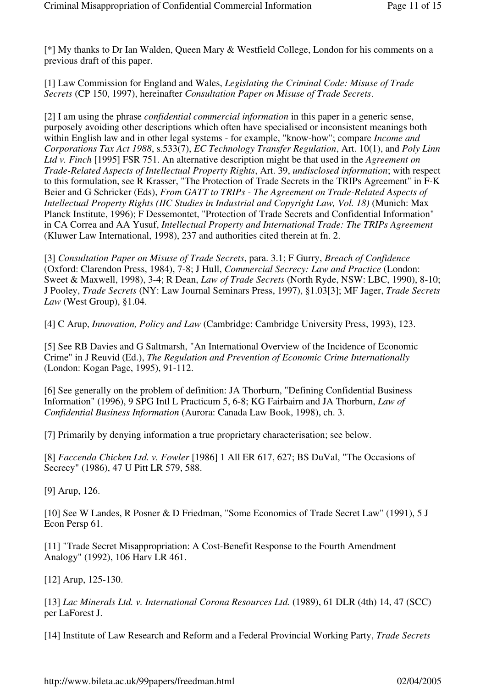[\*] My thanks to Dr Ian Walden, Queen Mary & Westfield College, London for his comments on a previous draft of this paper.

[1] Law Commission for England and Wales, *Legislating the Criminal Code: Misuse of Trade Secrets* (CP 150, 1997), hereinafter *Consultation Paper on Misuse of Trade Secrets*.

[2] I am using the phrase *confidential commercial information* in this paper in a generic sense, purposely avoiding other descriptions which often have specialised or inconsistent meanings both within English law and in other legal systems - for example, "know-how"; compare *Income and Corporations Tax Act 1988*, s.533(7), *EC Technology Transfer Regulation*, Art. 10(1), and *Poly Linn Ltd v. Finch* [1995] FSR 751. An alternative description might be that used in the *Agreement on Trade-Related Aspects of Intellectual Property Rights*, Art. 39, *undisclosed information*; with respect to this formulation, see R Krasser, "The Protection of Trade Secrets in the TRIPs Agreement" in F-K Beier and G Schricker (Eds), *From GATT to TRIPs - The Agreement on Trade-Related Aspects of Intellectual Property Rights (IIC Studies in Industrial and Copyright Law, Vol. 18)* (Munich: Max Planck Institute, 1996); F Dessemontet, "Protection of Trade Secrets and Confidential Information" in CA Correa and AA Yusuf, *Intellectual Property and International Trade: The TRIPs Agreement* (Kluwer Law International, 1998), 237 and authorities cited therein at fn. 2.

[3] *Consultation Paper on Misuse of Trade Secrets*, para. 3.1; F Gurry, *Breach of Confidence* (Oxford: Clarendon Press, 1984), 7-8; J Hull, *Commercial Secrecy: Law and Practice* (London: Sweet & Maxwell, 1998), 3-4; R Dean, *Law of Trade Secrets* (North Ryde, NSW: LBC, 1990), 8-10; J Pooley, *Trade Secrets* (NY: Law Journal Seminars Press, 1997), §1.03[3]; MF Jager, *Trade Secrets Law* (West Group), §1.04.

[4] C Arup, *Innovation, Policy and Law* (Cambridge: Cambridge University Press, 1993), 123.

[5] See RB Davies and G Saltmarsh, "An International Overview of the Incidence of Economic Crime" in J Reuvid (Ed.), *The Regulation and Prevention of Economic Crime Internationally*  (London: Kogan Page, 1995), 91-112.

[6] See generally on the problem of definition: JA Thorburn, "Defining Confidential Business Information" (1996), 9 SPG Intl L Practicum 5, 6-8; KG Fairbairn and JA Thorburn, *Law of Confidential Business Information* (Aurora: Canada Law Book, 1998), ch. 3.

[7] Primarily by denying information a true proprietary characterisation; see below.

[8] *Faccenda Chicken Ltd. v. Fowler* [1986] 1 All ER 617, 627; BS DuVal, "The Occasions of Secrecy" (1986), 47 U Pitt LR 579, 588.

[9] Arup, 126.

[10] See W Landes, R Posner & D Friedman, "Some Economics of Trade Secret Law" (1991), 5 J Econ Persp 61.

[11] "Trade Secret Misappropriation: A Cost-Benefit Response to the Fourth Amendment Analogy" (1992), 106 Harv LR 461.

[12] Arup, 125-130.

[13] *Lac Minerals Ltd. v. International Corona Resources Ltd.* (1989), 61 DLR (4th) 14, 47 (SCC) per LaForest J.

[14] Institute of Law Research and Reform and a Federal Provincial Working Party, *Trade Secrets*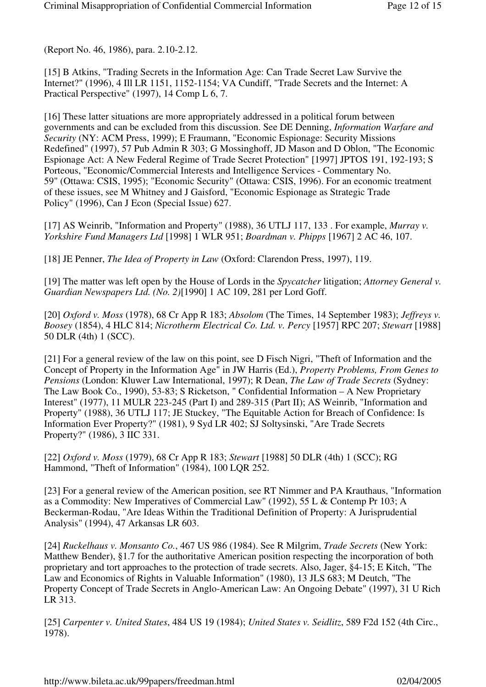(Report No. 46, 1986), para. 2.10-2.12.

[15] B Atkins, "Trading Secrets in the Information Age: Can Trade Secret Law Survive the Internet?" (1996), 4 Ill LR 1151, 1152-1154; VA Cundiff, "Trade Secrets and the Internet: A Practical Perspective" (1997), 14 Comp L 6, 7.

[16] These latter situations are more appropriately addressed in a political forum between governments and can be excluded from this discussion. See DE Denning, *Information Warfare and Security* (NY: ACM Press, 1999); E Fraumann, "Economic Espionage: Security Missions Redefined" (1997), 57 Pub Admin R 303; G Mossinghoff, JD Mason and D Oblon, "The Economic Espionage Act: A New Federal Regime of Trade Secret Protection" [1997] JPTOS 191, 192-193; S Porteous, "Economic/Commercial Interests and Intelligence Services - Commentary No. 59" (Ottawa: CSIS, 1995); "Economic Security" (Ottawa: CSIS, 1996). For an economic treatment of these issues, see M Whitney and J Gaisford, "Economic Espionage as Strategic Trade Policy" (1996), Can J Econ (Special Issue) 627.

[17] AS Weinrib, "Information and Property" (1988), 36 UTLJ 117, 133 . For example, *Murray v. Yorkshire Fund Managers Ltd* [1998] 1 WLR 951; *Boardman v. Phipps* [1967] 2 AC 46, 107.

[18] JE Penner, *The Idea of Property in Law* (Oxford: Clarendon Press, 1997), 119.

[19] The matter was left open by the House of Lords in the *Spycatcher* litigation; *Attorney General v. Guardian Newspapers Ltd. (No. 2)*[1990] 1 AC 109, 281 per Lord Goff.

[20] *Oxford v. Moss* (1978), 68 Cr App R 183; *Absolom* (The Times, 14 September 1983); *Jeffreys v. Boosey* (1854), 4 HLC 814; *Nicrotherm Electrical Co. Ltd. v. Percy* [1957] RPC 207; *Stewart* [1988] 50 DLR (4th) 1 (SCC).

[21] For a general review of the law on this point, see D Fisch Nigri, "Theft of Information and the Concept of Property in the Information Age" in JW Harris (Ed.), *Property Problems, From Genes to Pensions* (London: Kluwer Law International, 1997); R Dean, *The Law of Trade Secrets* (Sydney: The Law Book Co., 1990), 53-83; S Ricketson, " Confidential Information – A New Proprietary Interest" (1977), 11 MULR 223-245 (Part I) and 289-315 (Part II); AS Weinrib, "Information and Property" (1988), 36 UTLJ 117; JE Stuckey, "The Equitable Action for Breach of Confidence: Is Information Ever Property?" (1981), 9 Syd LR 402; SJ Soltysinski, "Are Trade Secrets Property?" (1986), 3 IIC 331.

[22] *Oxford v. Moss* (1979), 68 Cr App R 183; *Stewart* [1988] 50 DLR (4th) 1 (SCC); RG Hammond, "Theft of Information" (1984), 100 LQR 252.

[23] For a general review of the American position, see RT Nimmer and PA Krauthaus, "Information as a Commodity: New Imperatives of Commercial Law" (1992), 55 L & Contemp Pr 103; A Beckerman-Rodau, "Are Ideas Within the Traditional Definition of Property: A Jurisprudential Analysis" (1994), 47 Arkansas LR 603.

[24] *Ruckelhaus v. Monsanto Co.*, 467 US 986 (1984). See R Milgrim, *Trade Secrets* (New York: Matthew Bender), §1.7 for the authoritative American position respecting the incorporation of both proprietary and tort approaches to the protection of trade secrets. Also, Jager, §4-15; E Kitch, "The Law and Economics of Rights in Valuable Information" (1980), 13 JLS 683; M Deutch, "The Property Concept of Trade Secrets in Anglo-American Law: An Ongoing Debate" (1997), 31 U Rich LR 313.

[25] *Carpenter v. United States*, 484 US 19 (1984); *United States v. Seidlitz*, 589 F2d 152 (4th Circ., 1978).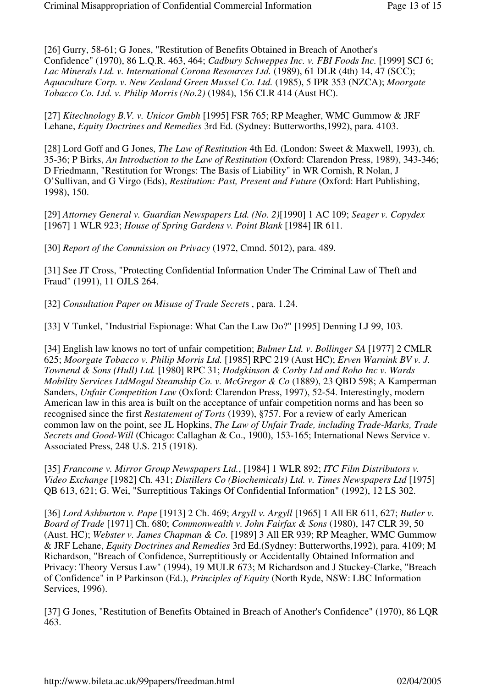[26] Gurry, 58-61; G Jones, "Restitution of Benefits Obtained in Breach of Another's Confidence" (1970), 86 L.Q.R. 463, 464; *Cadbury Schweppes Inc. v. FBI Foods Inc.* [1999] SCJ 6; *Lac Minerals Ltd. v. International Corona Resources Ltd.* (1989), 61 DLR (4th) 14, 47 (SCC); *Aquaculture Corp. v. New Zealand Green Mussel Co. Ltd.* (1985), 5 IPR 353 (NZCA); *Moorgate Tobacco Co. Ltd. v. Philip Morris (No.2)* (1984), 156 CLR 414 (Aust HC).

[27] *Kitechnology B.V. v. Unicor Gmbh* [1995] FSR 765; RP Meagher, WMC Gummow & JRF Lehane, *Equity Doctrines and Remedies* 3rd Ed. (Sydney: Butterworths,1992), para. 4103.

[28] Lord Goff and G Jones, *The Law of Restitution* 4th Ed. (London: Sweet & Maxwell, 1993), ch. 35-36; P Birks, *An Introduction to the Law of Restitution* (Oxford: Clarendon Press, 1989), 343-346; D Friedmann, "Restitution for Wrongs: The Basis of Liability" in WR Cornish, R Nolan, J O'Sullivan, and G Virgo (Eds), *Restitution: Past, Present and Future* (Oxford: Hart Publishing, 1998), 150.

[29] *Attorney General v. Guardian Newspapers Ltd. (No. 2)*[1990] 1 AC 109; *Seager v. Copydex* [1967] 1 WLR 923; *House of Spring Gardens v. Point Blank* [1984] IR 611.

[30] *Report of the Commission on Privacy* (1972, Cmnd. 5012), para. 489.

[31] See JT Cross, "Protecting Confidential Information Under The Criminal Law of Theft and Fraud" (1991), 11 OJLS 264.

[32] *Consultation Paper on Misuse of Trade Secret*s , para. 1.24.

[33] V Tunkel, "Industrial Espionage: What Can the Law Do?" [1995] Denning LJ 99, 103.

[34] English law knows no tort of unfair competition; *Bulmer Ltd. v. Bollinger SA* [1977] 2 CMLR 625; *Moorgate Tobacco v. Philip Morris Ltd.* [1985] RPC 219 (Aust HC); *Erven Warnink BV v. J. Townend & Sons (Hull) Ltd.* [1980] RPC 31; *Hodgkinson & Corby Ltd and Roho Inc v. Wards Mobility Services LtdMogul Steamship Co. v. McGregor & Co* (1889), 23 QBD 598; A Kamperman Sanders, *Unfair Competition Law* (Oxford: Clarendon Press, 1997), 52-54. Interestingly, modern American law in this area is built on the acceptance of unfair competition norms and has been so recognised since the first *Restatement of Torts* (1939), §757. For a review of early American common law on the point, see JL Hopkins, *The Law of Unfair Trade, including Trade-Marks, Trade Secrets and Good-Will* (Chicago: Callaghan & Co., 1900), 153-165; International News Service v. Associated Press, 248 U.S. 215 (1918).

[35] *Francome v. Mirror Group Newspapers Ltd.*, [1984] 1 WLR 892; *ITC Film Distributors v. Video Exchange* [1982] Ch. 431; *Distillers Co (Biochemicals) Ltd. v. Times Newspapers Ltd* [1975] QB 613, 621; G. Wei, "Surreptitious Takings Of Confidential Information" (1992), 12 LS 302.

[36] *Lord Ashburton v. Pape* [1913] 2 Ch. 469; *Argyll v. Argyll* [1965] 1 All ER 611, 627; *Butler v. Board of Trade* [1971] Ch. 680; *Commonwealth v. John Fairfax & Sons* (1980), 147 CLR 39, 50 (Aust. HC); *Webster v. James Chapman & Co.* [1989] 3 All ER 939; RP Meagher, WMC Gummow & JRF Lehane, *Equity Doctrines and Remedies* 3rd Ed.(Sydney: Butterworths,1992), para. 4109; M Richardson, "Breach of Confidence, Surreptitiously or Accidentally Obtained Information and Privacy: Theory Versus Law" (1994), 19 MULR 673; M Richardson and J Stuckey-Clarke, "Breach of Confidence" in P Parkinson (Ed.), *Principles of Equity* (North Ryde, NSW: LBC Information Services, 1996).

[37] G Jones, "Restitution of Benefits Obtained in Breach of Another's Confidence" (1970), 86 LQR 463.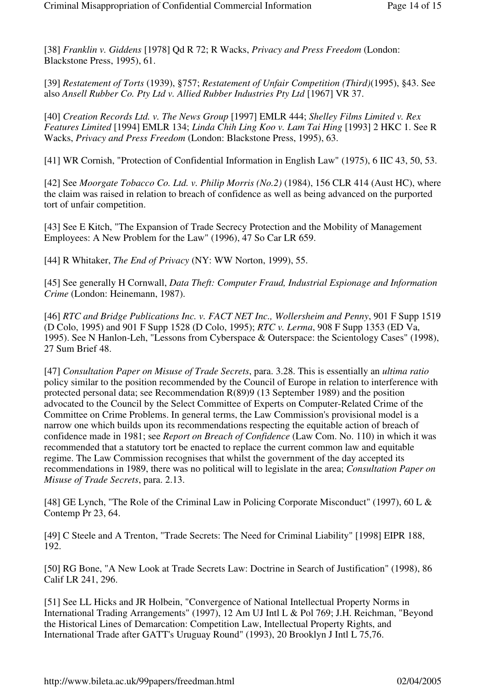[38] *Franklin v. Giddens* [1978] Qd R 72; R Wacks, *Privacy and Press Freedom* (London: Blackstone Press, 1995), 61.

[39] *Restatement of Torts* (1939), §757; *Restatement of Unfair Competition (Third)*(1995), §43. See also *Ansell Rubber Co. Pty Ltd v. Allied Rubber Industries Pty Ltd* [1967] VR 37.

[40] *Creation Records Ltd. v. The News Group* [1997] EMLR 444; *Shelley Films Limited v. Rex Features Limited* [1994] EMLR 134; *Linda Chih Ling Koo v. Lam Tai Hing* [1993] 2 HKC 1. See R Wacks, *Privacy and Press Freedom* (London: Blackstone Press, 1995), 63.

[41] WR Cornish, "Protection of Confidential Information in English Law" (1975), 6 IIC 43, 50, 53.

[42] See *Moorgate Tobacco Co. Ltd. v. Philip Morris (No.2)* (1984), 156 CLR 414 (Aust HC), where the claim was raised in relation to breach of confidence as well as being advanced on the purported tort of unfair competition.

[43] See E Kitch, "The Expansion of Trade Secrecy Protection and the Mobility of Management Employees: A New Problem for the Law" (1996), 47 So Car LR 659.

[44] R Whitaker, *The End of Privacy* (NY: WW Norton, 1999), 55.

[45] See generally H Cornwall, *Data Theft: Computer Fraud, Industrial Espionage and Information Crime* (London: Heinemann, 1987).

[46] *RTC and Bridge Publications Inc. v. FACT NET Inc., Wollersheim and Penny*, 901 F Supp 1519 (D Colo, 1995) and 901 F Supp 1528 (D Colo, 1995); *RTC v. Lerma*, 908 F Supp 1353 (ED Va, 1995). See N Hanlon-Leh, "Lessons from Cyberspace & Outerspace: the Scientology Cases" (1998), 27 Sum Brief 48.

[47] *Consultation Paper on Misuse of Trade Secrets*, para. 3.28. This is essentially an *ultima ratio* policy similar to the position recommended by the Council of Europe in relation to interference with protected personal data; see Recommendation R(89)9 (13 September 1989) and the position advocated to the Council by the Select Committee of Experts on Computer-Related Crime of the Committee on Crime Problems. In general terms, the Law Commission's provisional model is a narrow one which builds upon its recommendations respecting the equitable action of breach of confidence made in 1981; see *Report on Breach of Confidence* (Law Com. No. 110) in which it was recommended that a statutory tort be enacted to replace the current common law and equitable regime. The Law Commission recognises that whilst the government of the day accepted its recommendations in 1989, there was no political will to legislate in the area; *Consultation Paper on Misuse of Trade Secrets*, para. 2.13.

[48] GE Lynch, "The Role of the Criminal Law in Policing Corporate Misconduct" (1997), 60 L & Contemp Pr 23, 64.

[49] C Steele and A Trenton, "Trade Secrets: The Need for Criminal Liability" [1998] EIPR 188, 192.

[50] RG Bone, "A New Look at Trade Secrets Law: Doctrine in Search of Justification" (1998), 86 Calif LR 241, 296.

[51] See LL Hicks and JR Holbein, "Convergence of National Intellectual Property Norms in International Trading Arrangements" (1997), 12 Am UJ Intl L & Pol 769; J.H. Reichman, "Beyond the Historical Lines of Demarcation: Competition Law, Intellectual Property Rights, and International Trade after GATT's Uruguay Round" (1993), 20 Brooklyn J Intl L 75,76.